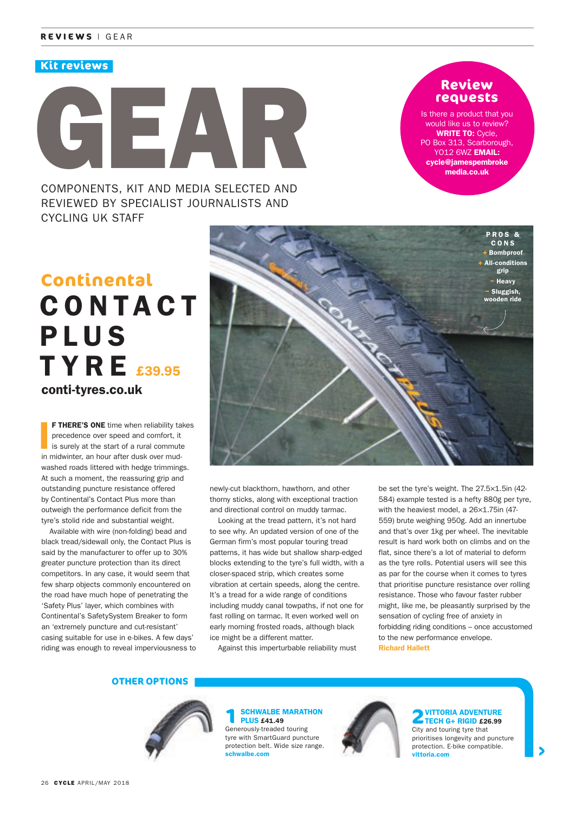### **Kit reviews**

# GEAR COMPONENTS, KIT AND MEDIA SELECTED AND

REVIEWED BY SPECIALIST JOURNALISTS AND CYCLING UK STAFF

### **Review requests**

Is there a product that you would like us to review? **WRITE TO: Cycle,** PO Box 313, Scarborough, YO12 6WZ EMAIL: cycle@jamespembroke media.co.uk

# C O N TA C T **PLUS TYRE** £39.95 **Continental** conti-tyres.co.uk

 I F THERE'S ONE time when reliability takes precedence over speed and comfort, it is surely at the start of a rural commute in midwinter, an hour after dusk over mudwashed roads littered with hedge trimmings. At such a moment, the reassuring grip and outstanding puncture resistance offered by Continental's Contact Plus more than outweigh the performance deficit from the tyre's stolid ride and substantial weight.

Available with wire (non-folding) bead and black tread/sidewall only, the Contact Plus is said by the manufacturer to offer up to 30% greater puncture protection than its direct competitors. In any case, it would seem that few sharp objects commonly encountered on the road have much hope of penetrating the 'Safety Plus' layer, which combines with Continental's SafetySystem Breaker to form an 'extremely puncture and cut-resistant' casing suitable for use in e-bikes. A few days' riding was enough to reveal imperviousness to



newly-cut blackthorn, hawthorn, and other thorny sticks, along with exceptional traction and directional control on muddy tarmac.

Looking at the tread pattern, it's not hard to see why. An updated version of one of the German firm's most popular touring tread patterns, it has wide but shallow sharp-edged blocks extending to the tyre's full width, with a closer-spaced strip, which creates some vibration at certain speeds, along the centre. It's a tread for a wide range of conditions including muddy canal towpaths, if not one for fast rolling on tarmac. It even worked well on early morning frosted roads, although black ice might be a different matter.

Against this imperturbable reliability must

be set the tyre's weight. The 27.5×1.5in (42- 584) example tested is a hefty 880g per tyre, with the heaviest model, a 26×1.75in (47- 559) brute weighing 950g. Add an innertube and that's over 1kg per wheel. The inevitable result is hard work both on climbs and on the flat, since there's a lot of material to deform as the tyre rolls. Potential users will see this as par for the course when it comes to tyres that prioritise puncture resistance over rolling resistance. Those who favour faster rubber might, like me, be pleasantly surprised by the sensation of cycling free of anxiety in forbidding riding conditions – once accustomed to the new performance envelope. Richard Hallett

### **OTHER OPTIONS**



**SCHWALBE MARATHON** PLUS £41.49

Generously-treaded touring tyre with SmartGuard puncture protection belt. Wide size range. schwalbe.com



#### **2**VITTORIA ADVENTURE TECH G+ RIGID £26.99

City and touring tyre that prioritises longevity and puncture protection. E-bike compatible. vittoria.com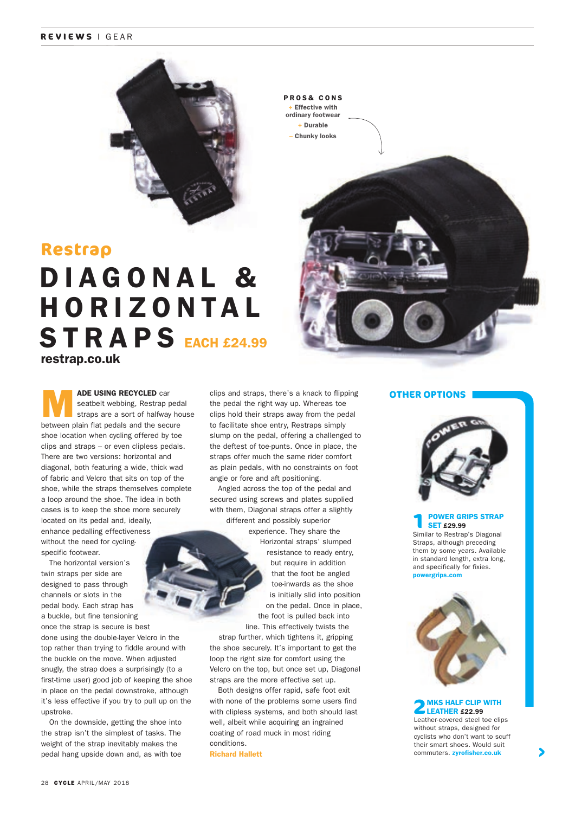### **REVIEWS** | GEAR



### **Restrap**

## restrap.co.uk DIAGONAL & H O R I Z O N TA L STRAPS EACH £24.99

**ADE USING RECYCLED** car seatbelt webbing, Restrap pedal straps are a sort of halfway house seatbelt webbing, Restrap pedal between plain flat pedals and the secure shoe location when cycling offered by toe clips and straps – or even clipless pedals. There are two versions: horizontal and diagonal, both featuring a wide, thick wad of fabric and Velcro that sits on top of the shoe, while the straps themselves complete a loop around the shoe. The idea in both cases is to keep the shoe more securely located on its pedal and, ideally, enhance pedalling effectiveness without the need for cyclingspecific footwear.

The horizontal version's twin straps per side are designed to pass through channels or slots in the pedal body. Each strap has a buckle, but fine tensioning once the strap is secure is best done using the double-layer Velcro in the top rather than trying to fiddle around with the buckle on the move. When adjusted snugly, the strap does a surprisingly (to a first-time user) good job of keeping the shoe in place on the pedal downstroke, although it's less effective if you try to pull up on the upstroke.

On the downside, getting the shoe into the strap isn't the simplest of tasks. The weight of the strap inevitably makes the pedal hang upside down and, as with toe clips and straps, there's a knack to flipping the pedal the right way up. Whereas toe clips hold their straps away from the pedal to facilitate shoe entry, Restraps simply slump on the pedal, offering a challenged to the deftest of toe-punts. Once in place, the straps offer much the same rider comfort as plain pedals, with no constraints on foot angle or fore and aft positioning.

Angled across the top of the pedal and secured using screws and plates supplied with them, Diagonal straps offer a slightly different and possibly superior

experience. They share the Horizontal straps' slumped resistance to ready entry, but require in addition that the foot be angled toe-inwards as the shoe is initially slid into position on the pedal. Once in place, the foot is pulled back into line. This effectively twists the

strap further, which tightens it, gripping the shoe securely. It's important to get the loop the right size for comfort using the Velcro on the top, but once set up, Diagonal straps are the more effective set up.

Both designs offer rapid, safe foot exit with none of the problems some users find with clipless systems, and both should last well, albeit while acquiring an ingrained coating of road muck in most riding conditions. Richard Hallett

### **OTHER OPTIONS**



#### **1** POWER GRIPS STRAP **SET £29.99**

Similar to Restrap's Diagonal Straps, although preceding them by some years. Available in standard length, extra long, and specifically for fixies. powergrips.com



**2**MKS HALF CLIP WITH LEATHER £22.99 Leather-covered steel toe clips

without straps, designed for cyclists who don't want to scuff their smart shoes. Would suit commuters. zyrofisher.co.uk

**Effective with** ordinary footwear + Durable – Chunky looks

PROS& CONS

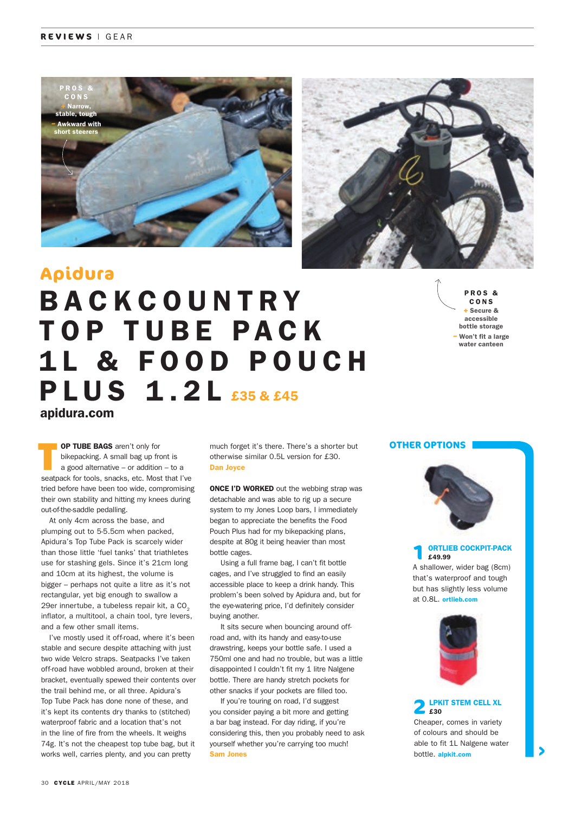



### **Apidura**

# apidura.com **BACKCOUNTRY** TOP TUBE PACK 1 L & F O O D P O U C H PLUS 1.2L £35 & £45

P R O S & CONS **+** Secure & accessible bottle storage **–** Won't fit a large water canteen

 T OP TUBE BAGS aren't only for bikepacking. A small bag up front is a good alternative – or addition – to a seatpack for tools, snacks, etc. Most that I've tried before have been too wide, compromising their own stability and hitting my knees during out-of-the-saddle pedalling.

At only 4cm across the base, and plumping out to 5-5.5cm when packed, Apidura's Top Tube Pack is scarcely wider than those little 'fuel tanks' that triathletes use for stashing gels. Since it's 21cm long and 10cm at its highest, the volume is bigger – perhaps not quite a litre as it's not rectangular, yet big enough to swallow a 29er innertube, a tubeless repair kit, a CO<sub>2</sub> inflator, a multitool, a chain tool, tyre levers, and a few other small items.

I've mostly used it off-road, where it's been stable and secure despite attaching with just two wide Velcro straps. Seatpacks I've taken off-road have wobbled around, broken at their bracket, eventually spewed their contents over the trail behind me, or all three. Apidura's Top Tube Pack has done none of these, and it's kept its contents dry thanks to (stitched) waterproof fabric and a location that's not in the line of fire from the wheels. It weighs 74g. It's not the cheapest top tube bag, but it works well, carries plenty, and you can pretty

much forget it's there. There's a shorter but otherwise similar 0.5L version for £30. Dan Joyce

**ONCE I'D WORKED** out the webbing strap was detachable and was able to rig up a secure system to my Jones Loop bars, I immediately began to appreciate the benefits the Food Pouch Plus had for my bikepacking plans, despite at 80g it being heavier than most bottle cages.

 Using a full frame bag, I can't fit bottle cages, and I've struggled to find an easily accessible place to keep a drink handy. This problem's been solved by Apidura and, but for the eye-watering price, I'd definitely consider buying another.

It sits secure when bouncing around offroad and, with its handy and easy-to-use drawstring, keeps your bottle safe. I used a 750ml one and had no trouble, but was a little disappointed I couldn't fit my 1 litre Nalgene bottle. There are handy stretch pockets for other snacks if your pockets are filled too.

 If you're touring on road, I'd suggest you consider paying a bit more and getting a bar bag instead. For day riding, if you're considering this, then you probably need to ask yourself whether you're carrying too much! Sam Jones

### **OTHER OPTIONS**



**1** ORTLIEB COCKPIT-PACK £49.99

A shallower, wider bag (8cm) that's waterproof and tough but has slightly less volume at 0.8L. ortlieb.com



**2**LPKIT STEM CELL XL £30 Cheaper, comes in variety

of colours and should be able to fit 1L Nalgene water bottle. alpkit.com